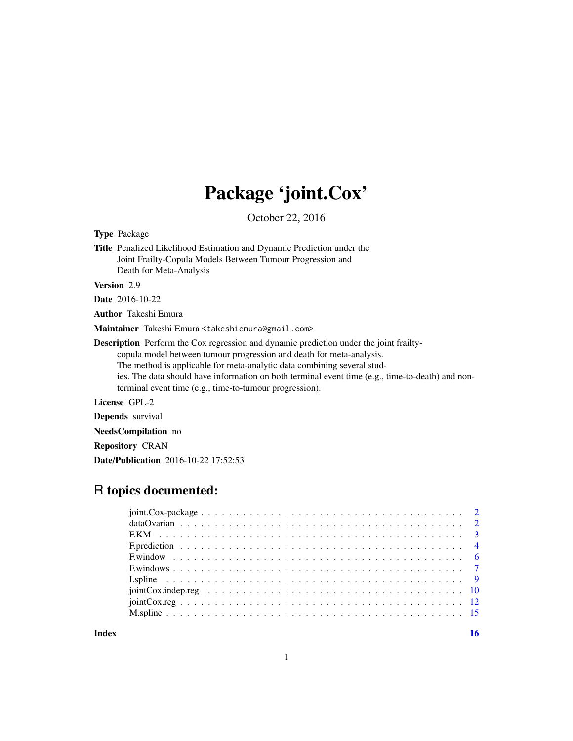# Package 'joint.Cox'

October 22, 2016

| <b>Type Package</b>                                                                                                                                                                                                                                                                                                                                                                                             |
|-----------------------------------------------------------------------------------------------------------------------------------------------------------------------------------------------------------------------------------------------------------------------------------------------------------------------------------------------------------------------------------------------------------------|
| Title Penalized Likelihood Estimation and Dynamic Prediction under the<br>Joint Frailty-Copula Models Between Tumour Progression and<br>Death for Meta-Analysis                                                                                                                                                                                                                                                 |
| <b>Version</b> 2.9                                                                                                                                                                                                                                                                                                                                                                                              |
| <b>Date</b> 2016-10-22                                                                                                                                                                                                                                                                                                                                                                                          |
| <b>Author</b> Takeshi Emura                                                                                                                                                                                                                                                                                                                                                                                     |
| Maintainer Takeshi Emura <takeshiemura@gmail.com></takeshiemura@gmail.com>                                                                                                                                                                                                                                                                                                                                      |
| <b>Description</b> Perform the Cox regression and dynamic prediction under the joint frailty-<br>copula model between tumour progression and death for meta-analysis.<br>The method is applicable for meta-analytic data combining several stud-<br>ies. The data should have information on both terminal event time (e.g., time-to-death) and non-<br>terminal event time (e.g., time-to-tumour progression). |
| License GPL-2                                                                                                                                                                                                                                                                                                                                                                                                   |
| <b>Depends</b> survival                                                                                                                                                                                                                                                                                                                                                                                         |
| <b>NeedsCompilation</b> no                                                                                                                                                                                                                                                                                                                                                                                      |
| <b>Repository CRAN</b>                                                                                                                                                                                                                                                                                                                                                                                          |
| <b>Date/Publication</b> 2016-10-22 17:52:53                                                                                                                                                                                                                                                                                                                                                                     |

# R topics documented:

**Index** and the contract of the contract of the contract of the contract of the contract of the contract of the contract of the contract of the contract of the contract of the contract of the contract of the contract of th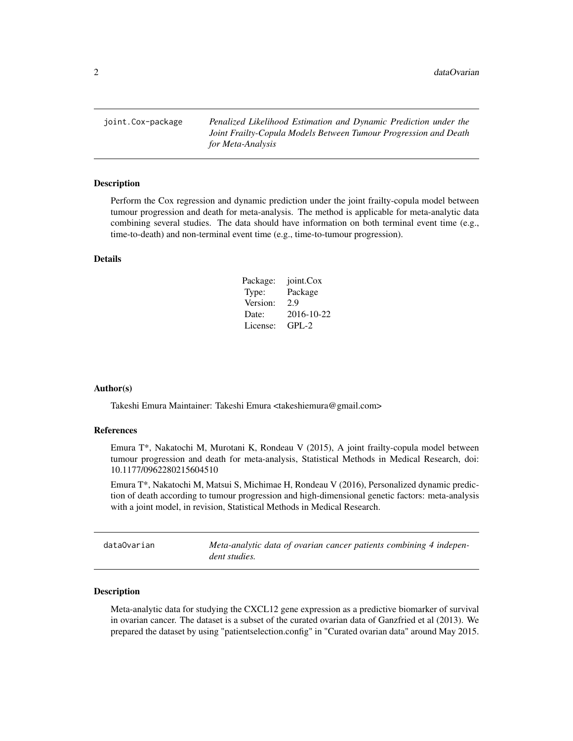<span id="page-1-0"></span>joint.Cox-package *Penalized Likelihood Estimation and Dynamic Prediction under the Joint Frailty-Copula Models Between Tumour Progression and Death for Meta-Analysis*

#### Description

Perform the Cox regression and dynamic prediction under the joint frailty-copula model between tumour progression and death for meta-analysis. The method is applicable for meta-analytic data combining several studies. The data should have information on both terminal event time (e.g., time-to-death) and non-terminal event time (e.g., time-to-tumour progression).

#### Details

| Package: | joint.Cox  |
|----------|------------|
| Type:    | Package    |
| Version: | 2.9        |
| Date:    | 2016-10-22 |
| License: | $GPL-2$    |

#### Author(s)

Takeshi Emura Maintainer: Takeshi Emura <takeshiemura@gmail.com>

#### References

Emura T\*, Nakatochi M, Murotani K, Rondeau V (2015), A joint frailty-copula model between tumour progression and death for meta-analysis, Statistical Methods in Medical Research, doi: 10.1177/0962280215604510

Emura T\*, Nakatochi M, Matsui S, Michimae H, Rondeau V (2016), Personalized dynamic prediction of death according to tumour progression and high-dimensional genetic factors: meta-analysis with a joint model, in revision, Statistical Methods in Medical Research.

dataOvarian *Meta-analytic data of ovarian cancer patients combining 4 independent studies.*

#### Description

Meta-analytic data for studying the CXCL12 gene expression as a predictive biomarker of survival in ovarian cancer. The dataset is a subset of the curated ovarian data of Ganzfried et al (2013). We prepared the dataset by using "patientselection.config" in "Curated ovarian data" around May 2015.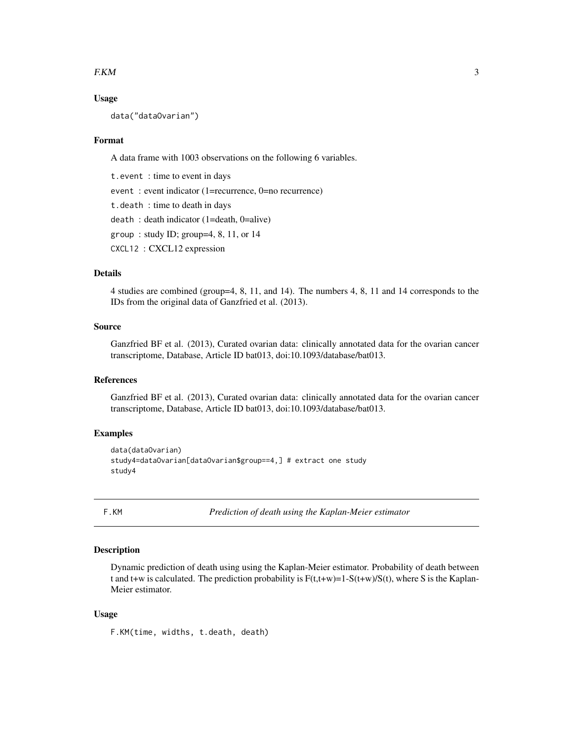#### <span id="page-2-0"></span> $F.$ KM 3

#### Usage

data("dataOvarian")

#### Format

A data frame with 1003 observations on the following 6 variables.

t.event : time to event in days event : event indicator (1=recurrence, 0=no recurrence) t.death : time to death in days death : death indicator (1=death, 0=alive) group : study ID; group=4, 8, 11, or 14 CXCL12 : CXCL12 expression

# Details

4 studies are combined (group=4, 8, 11, and 14). The numbers 4, 8, 11 and 14 corresponds to the IDs from the original data of Ganzfried et al. (2013).

#### Source

Ganzfried BF et al. (2013), Curated ovarian data: clinically annotated data for the ovarian cancer transcriptome, Database, Article ID bat013, doi:10.1093/database/bat013.

#### References

Ganzfried BF et al. (2013), Curated ovarian data: clinically annotated data for the ovarian cancer transcriptome, Database, Article ID bat013, doi:10.1093/database/bat013.

#### Examples

```
data(dataOvarian)
study4=dataOvarian[dataOvarian$group==4,] # extract one study
study4
```
F.KM *Prediction of death using the Kaplan-Meier estimator*

# **Description**

Dynamic prediction of death using using the Kaplan-Meier estimator. Probability of death between t and t+w is calculated. The prediction probability is  $F(t,t+w)=1-S(t+w)/S(t)$ , where S is the Kaplan-Meier estimator.

#### Usage

F.KM(time, widths, t.death, death)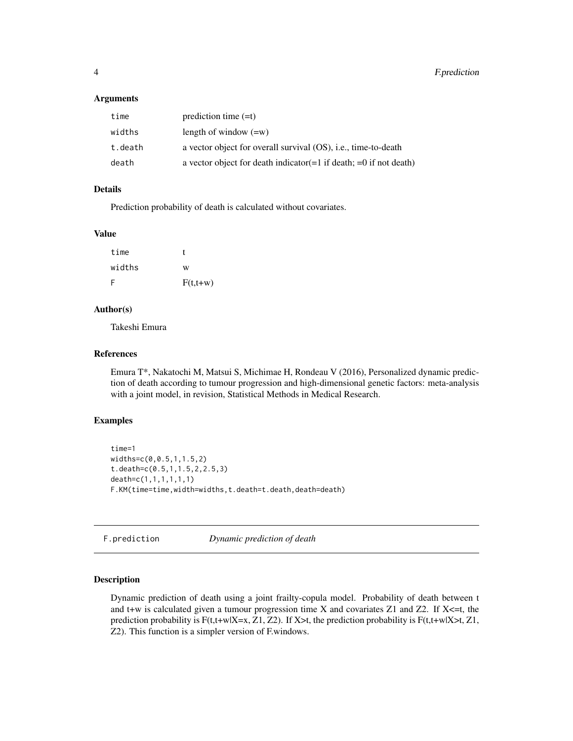#### <span id="page-3-0"></span>**Arguments**

| time    | prediction time $(=t)$                                                 |
|---------|------------------------------------------------------------------------|
| widths  | length of window $(=w)$                                                |
| t.death | a vector object for overall survival (OS), i.e., time-to-death         |
| death   | a vector object for death indicator $(=1$ if death; $=0$ if not death) |

#### Details

Prediction probability of death is calculated without covariates.

#### Value

| time   | Г          |
|--------|------------|
| widths | W          |
| -F     | $F(t,t+w)$ |

# Author(s)

Takeshi Emura

# References

Emura T\*, Nakatochi M, Matsui S, Michimae H, Rondeau V (2016), Personalized dynamic prediction of death according to tumour progression and high-dimensional genetic factors: meta-analysis with a joint model, in revision, Statistical Methods in Medical Research.

# Examples

```
time=1
widths=c(0,0.5,1,1.5,2)
t.death=c(0.5,1,1.5,2,2.5,3)
death=c(1,1,1,1,1,1)
F.KM(time=time,width=widths,t.death=t.death,death=death)
```
F.prediction *Dynamic prediction of death*

#### Description

Dynamic prediction of death using a joint frailty-copula model. Probability of death between t and t+w is calculated given a tumour progression time X and covariates Z1 and Z2. If  $X \leq t$ , the prediction probability is  $F(t,t+w|X=x, Z1, Z2)$ . If X>t, the prediction probability is  $F(t,t+w|X>t, Z1, Z2)$ Z2). This function is a simpler version of F.windows.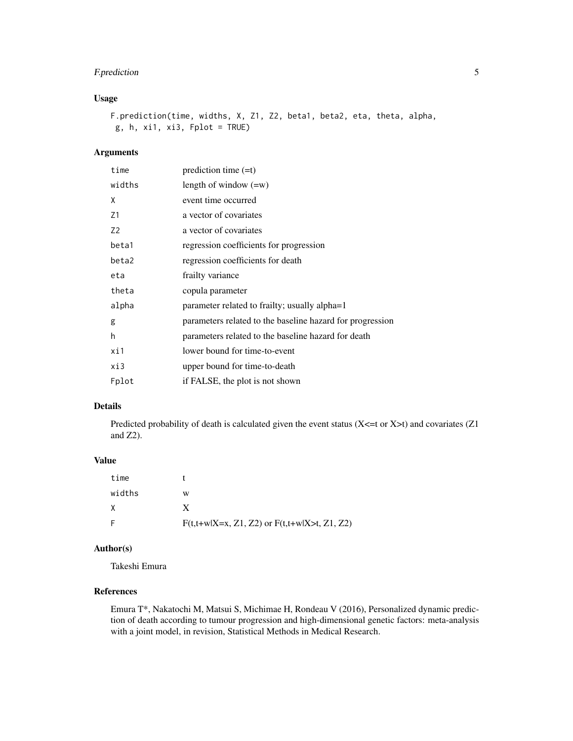# F. prediction 5

# Usage

F.prediction(time, widths, X, Z1, Z2, beta1, beta2, eta, theta, alpha, g, h, xi1, xi3, Fplot = TRUE)

# Arguments

| time           | prediction time $(=t)$                                    |
|----------------|-----------------------------------------------------------|
| widths         | length of window $(=w)$                                   |
| Χ              | event time occurred                                       |
| Z1             | a vector of covariates                                    |
| Z <sub>2</sub> | a vector of covariates                                    |
| beta1          | regression coefficients for progression                   |
| beta2          | regression coefficients for death                         |
| eta            | frailty variance                                          |
| theta          | copula parameter                                          |
| alpha          | parameter related to frailty; usually alpha=1             |
| g              | parameters related to the baseline hazard for progression |
| h              | parameters related to the baseline hazard for death       |
| xi1            | lower bound for time-to-event                             |
| xi3            | upper bound for time-to-death                             |
| Fplot          | if FALSE, the plot is not shown                           |

# Details

Predicted probability of death is calculated given the event status (X<=t or X>t) and covariates (Z1 and Z2).

# Value

| time   |                                                  |
|--------|--------------------------------------------------|
| widths | w                                                |
|        |                                                  |
|        | $F(t,t+w X=x, Z1, Z2)$ or $F(t,t+w X>t, Z1, Z2)$ |

# Author(s)

Takeshi Emura

# References

Emura T\*, Nakatochi M, Matsui S, Michimae H, Rondeau V (2016), Personalized dynamic prediction of death according to tumour progression and high-dimensional genetic factors: meta-analysis with a joint model, in revision, Statistical Methods in Medical Research.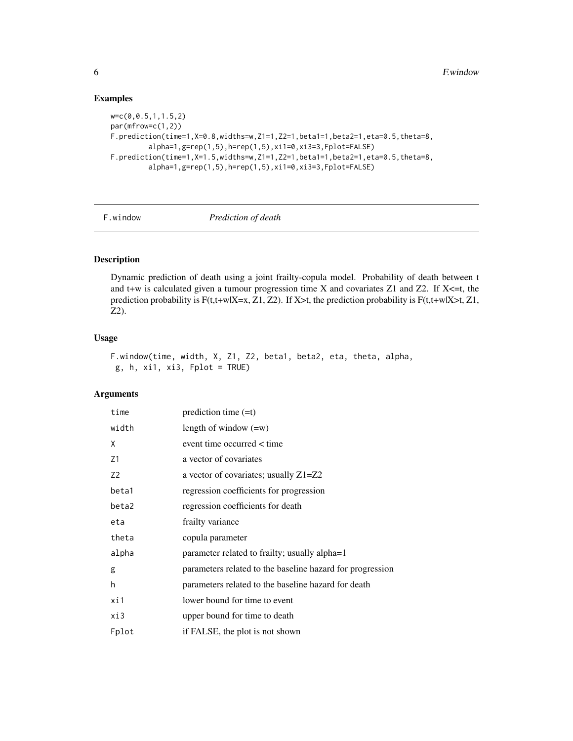# Examples

```
w=c(0,0.5,1,1.5,2)
par(mfrow=c(1,2))
F.prediction(time=1,X=0.8,widths=w,Z1=1,Z2=1,beta1=1,beta2=1,eta=0.5,theta=8,
         alpha=1,g=rep(1,5),h=rep(1,5),xi1=0,xi3=3,Fplot=FALSE)
F.prediction(time=1,X=1.5,widths=w,Z1=1,Z2=1,beta1=1,beta2=1,eta=0.5,theta=8,
         alpha=1,g=rep(1,5),h=rep(1,5),xi1=0,xi3=3,Fplot=FALSE)
```
F.window *Prediction of death*

#### Description

Dynamic prediction of death using a joint frailty-copula model. Probability of death between t and t+w is calculated given a tumour progression time X and covariates Z1 and Z2. If  $X \leq t$ , the prediction probability is  $F(t,t+w|X=x, Z1, Z2)$ . If X>t, the prediction probability is  $F(t,t+w|X>t, Z1, Z2)$ Z2).

#### Usage

```
F.window(time, width, X, Z1, Z2, beta1, beta2, eta, theta, alpha,
g, h, xi1, xi3, Fplot = TRUE
```
# Arguments

| time           | prediction time $(=t)$                                    |
|----------------|-----------------------------------------------------------|
| width          | length of window $(=w)$                                   |
| X              | event time occurred < time                                |
| Z1             | a vector of covariates                                    |
| Z <sub>2</sub> | a vector of covariates; usually Z1=Z2                     |
| beta1          | regression coefficients for progression                   |
| beta2          | regression coefficients for death                         |
| eta            | frailty variance                                          |
| theta          | copula parameter                                          |
| alpha          | parameter related to frailty; usually alpha=1             |
| g              | parameters related to the baseline hazard for progression |
| h              | parameters related to the baseline hazard for death       |
| xi1            | lower bound for time to event                             |
| xi3            | upper bound for time to death                             |
| Fplot          | if FALSE, the plot is not shown                           |

<span id="page-5-0"></span>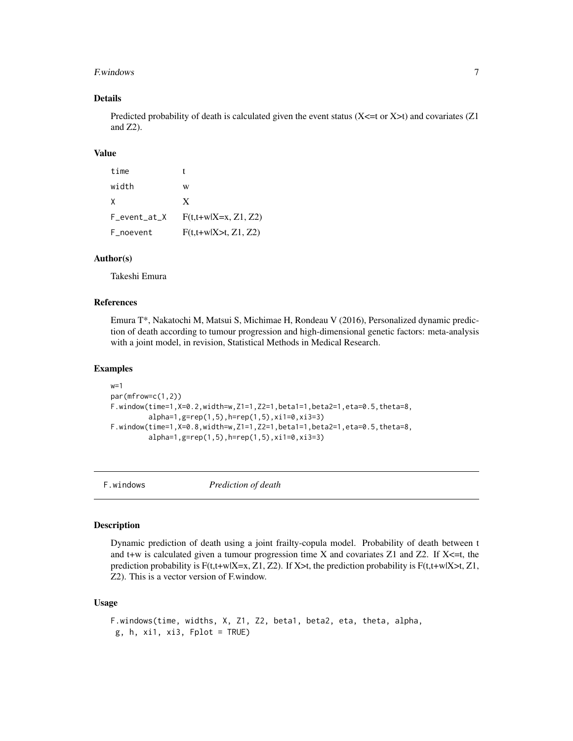#### <span id="page-6-0"></span>F. windows 7

# Details

Predicted probability of death is calculated given the event status ( $X \leq t$  or  $X \geq t$ ) and covariates ( $Z1$ and Z2).

# Value

| time         |                        |
|--------------|------------------------|
| width        | w                      |
| X            | X                      |
| F_event_at_X | $F(t,t+w X=x, Z1, Z2)$ |
| F_noevent    | $F(t,t+w X>t, Z1, Z2)$ |

#### Author(s)

Takeshi Emura

#### References

Emura T\*, Nakatochi M, Matsui S, Michimae H, Rondeau V (2016), Personalized dynamic prediction of death according to tumour progression and high-dimensional genetic factors: meta-analysis with a joint model, in revision, Statistical Methods in Medical Research.

#### Examples

```
w=1par(mfrow=c(1,2))
F.window(time=1,X=0.2,width=w,Z1=1,Z2=1,beta1=1,beta2=1,eta=0.5,theta=8,
         alpha=1,g=rep(1,5),h=rep(1,5),xi1=0,xi3=3)
F.window(time=1,X=0.8,width=w,Z1=1,Z2=1,beta1=1,beta2=1,eta=0.5,theta=8,
         alpha=1,g=rep(1,5),h=rep(1,5),xi1=0,xi3=3)
```
F.windows *Prediction of death*

#### Description

Dynamic prediction of death using a joint frailty-copula model. Probability of death between t and t+w is calculated given a tumour progression time X and covariates  $Z1$  and  $Z2$ . If  $X \leq t$ , the prediction probability is  $F(t,t+w|X=x, Z1, Z2)$ . If X>t, the prediction probability is  $F(t,t+w|X>t, Z1, Z2)$ Z2). This is a vector version of F.window.

### Usage

```
F.windows(time, widths, X, Z1, Z2, beta1, beta2, eta, theta, alpha,
g, h, xi1, xi3, Fplot = TRUE)
```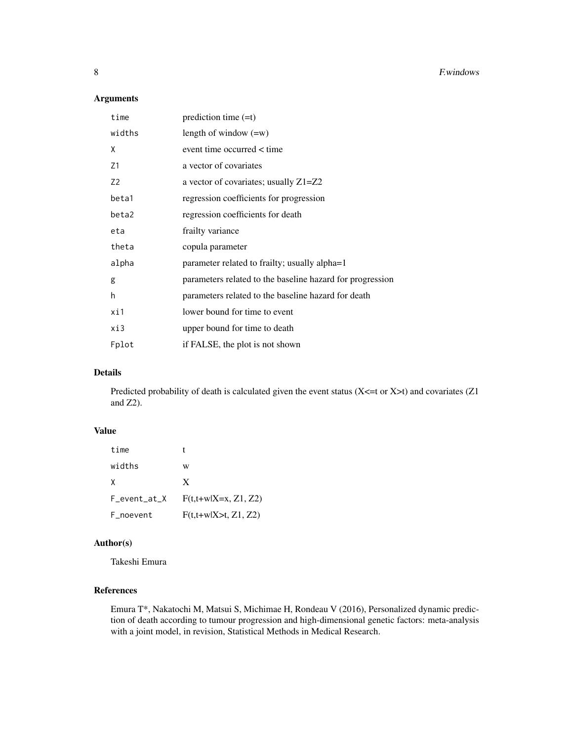# Arguments

| time           | prediction time $(=t)$                                    |
|----------------|-----------------------------------------------------------|
| widths         | length of window $(=w)$                                   |
| X              | event time occurred < time                                |
| Z1             | a vector of covariates                                    |
| Z <sub>2</sub> | a vector of covariates; usually $Z1 = Z2$                 |
| beta1          | regression coefficients for progression                   |
| beta2          | regression coefficients for death                         |
| eta            | frailty variance                                          |
| theta          | copula parameter                                          |
| alpha          | parameter related to frailty; usually alpha=1             |
| g              | parameters related to the baseline hazard for progression |
| h              | parameters related to the baseline hazard for death       |
| xi1            | lower bound for time to event                             |
| xi3            | upper bound for time to death                             |
| Fplot          | if FALSE, the plot is not shown                           |

# Details

Predicted probability of death is calculated given the event status  $(X \le t$  or  $X \ge t)$  and covariates  $(Z1$ and Z2).

# Value

| time         |                        |
|--------------|------------------------|
| widths       | w                      |
| X            | X                      |
| F_event_at_X | $F(t,t+w X=x, Z1, Z2)$ |
| F_noevent    | $F(t,t+w X>t, Z1, Z2)$ |

# Author(s)

Takeshi Emura

# References

Emura T\*, Nakatochi M, Matsui S, Michimae H, Rondeau V (2016), Personalized dynamic prediction of death according to tumour progression and high-dimensional genetic factors: meta-analysis with a joint model, in revision, Statistical Methods in Medical Research.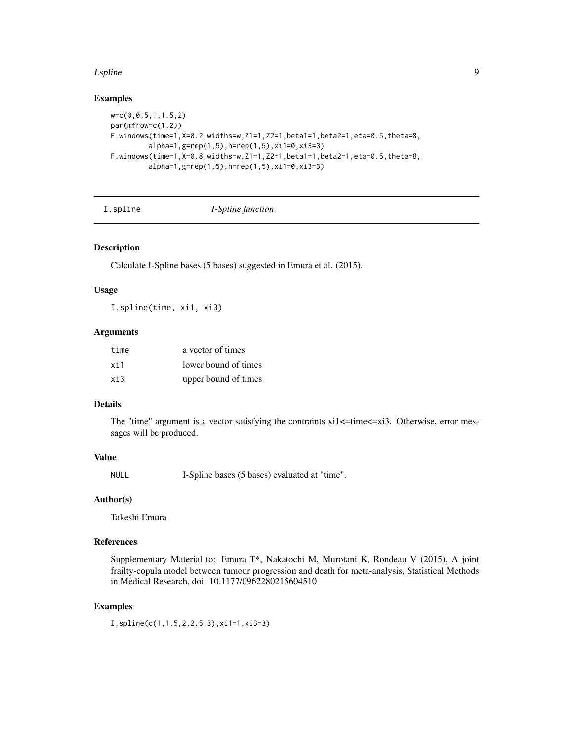#### <span id="page-8-0"></span>**I**.spline 9

#### Examples

```
w=c(0,0.5,1,1.5,2)
par(mfrow=c(1,2))
F.windows(time=1,X=0.2,widths=w,Z1=1,Z2=1,beta1=1,beta2=1,eta=0.5,theta=8,
         alpha=1,g=rep(1,5),h=rep(1,5),xi1=0,xi3=3)
F.windows(time=1,X=0.8,widths=w,Z1=1,Z2=1,beta1=1,beta2=1,eta=0.5,theta=8,
         alpha=1,g=rep(1,5),h=rep(1,5),xi1=0,xi3=3)
```
I.spline *I-Spline function*

# Description

Calculate I-Spline bases (5 bases) suggested in Emura et al. (2015).

#### Usage

I.spline(time, xi1, xi3)

# Arguments

| time | a vector of times    |
|------|----------------------|
| xi1  | lower bound of times |
| xi3  | upper bound of times |

# Details

The "time" argument is a vector satisfying the contraints  $xil \leq time \leq xil$ . Otherwise, error messages will be produced.

# Value

NULL I-Spline bases (5 bases) evaluated at "time".

# Author(s)

Takeshi Emura

# References

Supplementary Material to: Emura T\*, Nakatochi M, Murotani K, Rondeau V (2015), A joint frailty-copula model between tumour progression and death for meta-analysis, Statistical Methods in Medical Research, doi: 10.1177/0962280215604510

# Examples

I.spline(c(1,1.5,2,2.5,3),xi1=1,xi3=3)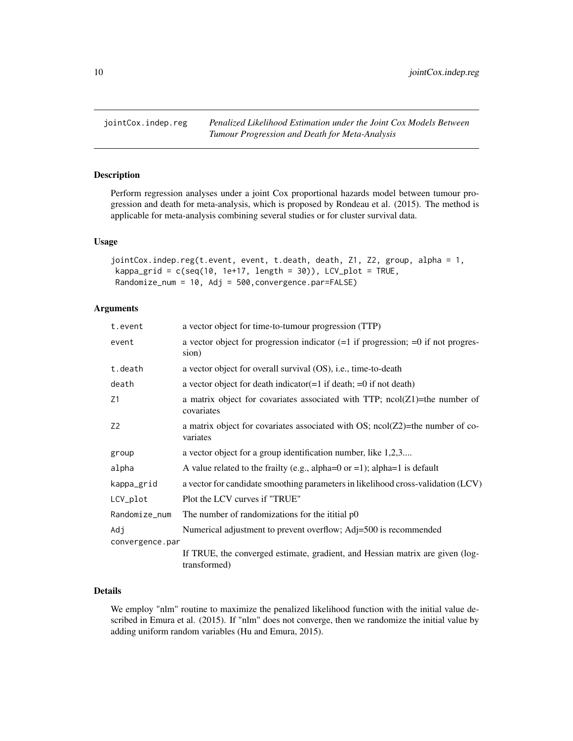<span id="page-9-0"></span>jointCox.indep.reg *Penalized Likelihood Estimation under the Joint Cox Models Between Tumour Progression and Death for Meta-Analysis*

# Description

Perform regression analyses under a joint Cox proportional hazards model between tumour progression and death for meta-analysis, which is proposed by Rondeau et al. (2015). The method is applicable for meta-analysis combining several studies or for cluster survival data.

#### Usage

```
jointCox.indep.reg(t.event, event, t.death, death, Z1, Z2, group, alpha = 1,
kappa_grid = c(seq(10, 1e+17, length = 30)), LCV_plot = TRUE,
Randomize_num = 10, Adj = 500,convergence.par=FALSE)
```
# Arguments

| t.event                | a vector object for time-to-tumour progression (TTP)                                          |  |  |
|------------------------|-----------------------------------------------------------------------------------------------|--|--|
| event                  | a vector object for progression indicator $(=1$ if progression; $=0$ if not progres-<br>sion) |  |  |
| t.death                | a vector object for overall survival $OS$ ), i.e., time-to-death                              |  |  |
| death                  | a vector object for death indicator $(=1$ if death; $=0$ if not death)                        |  |  |
| Z1                     | a matrix object for covariates associated with TTP; $ncol(Z1)$ =the number of<br>covariates   |  |  |
| Z <sub>2</sub>         | a matrix object for covariates associated with OS; $ncol(Z2)$ =the number of co-<br>variates  |  |  |
| group                  | a vector object for a group identification number, like 1,2,3                                 |  |  |
| alpha                  | A value related to the frailty (e.g., alpha= $0$ or =1); alpha= $1$ is default                |  |  |
| kappa_grid             | a vector for candidate smoothing parameters in likelihood cross-validation (LCV)              |  |  |
| LCV_plot               | Plot the LCV curves if "TRUE"                                                                 |  |  |
| Randomize_num          | The number of randomizations for the ititial p0                                               |  |  |
| Adj<br>convergence.par | Numerical adjustment to prevent overflow; Adj=500 is recommended                              |  |  |
|                        | If TRUE, the converged estimate, gradient, and Hessian matrix are given (log-<br>transformed) |  |  |

# Details

We employ "nlm" routine to maximize the penalized likelihood function with the initial value described in Emura et al. (2015). If "nlm" does not converge, then we randomize the initial value by adding uniform random variables (Hu and Emura, 2015).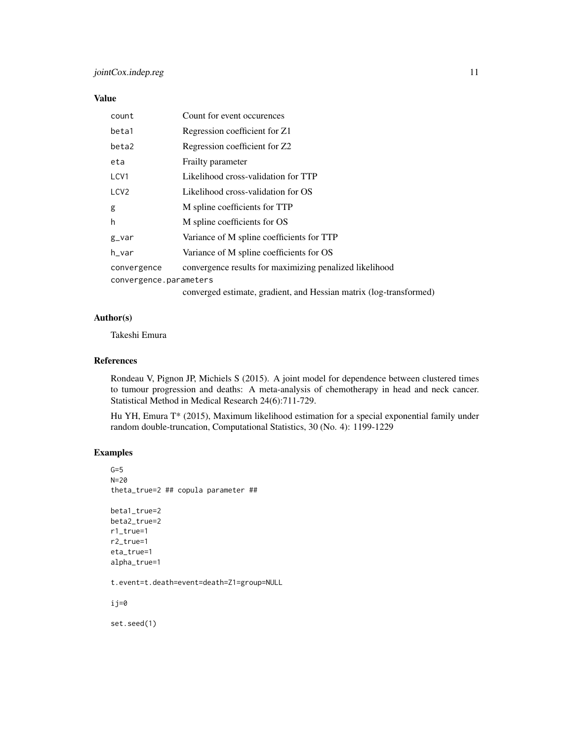# Value

| count                  | Count for event occurences                                         |  |
|------------------------|--------------------------------------------------------------------|--|
| beta1                  | Regression coefficient for Z1                                      |  |
| beta2                  | Regression coefficient for Z2                                      |  |
| eta                    | Frailty parameter                                                  |  |
| LCV1                   | Likelihood cross-validation for TTP                                |  |
| LCV <sub>2</sub>       | Likelihood cross-validation for OS                                 |  |
| g                      | M spline coefficients for TTP                                      |  |
| h                      | M spline coefficients for OS                                       |  |
| $g_{v}$                | Variance of M spline coefficients for TTP                          |  |
| h_var                  | Variance of M spline coefficients for OS                           |  |
| convergence            | convergence results for maximizing penalized likelihood            |  |
| convergence.parameters |                                                                    |  |
|                        | converged estimate, gradient, and Hessian matrix (log-transformed) |  |

# Author(s)

Takeshi Emura

# References

Rondeau V, Pignon JP, Michiels S (2015). A joint model for dependence between clustered times to tumour progression and deaths: A meta-analysis of chemotherapy in head and neck cancer. Statistical Method in Medical Research 24(6):711-729.

Hu YH, Emura T\* (2015), Maximum likelihood estimation for a special exponential family under random double-truncation, Computational Statistics, 30 (No. 4): 1199-1229

# Examples

```
G=5N=20
theta_true=2 ## copula parameter ##
beta1_true=2
beta2_true=2
r1_true=1
r2_true=1
eta_true=1
alpha_true=1
t.event=t.death=event=death=Z1=group=NULL
ij=0
set.seed(1)
```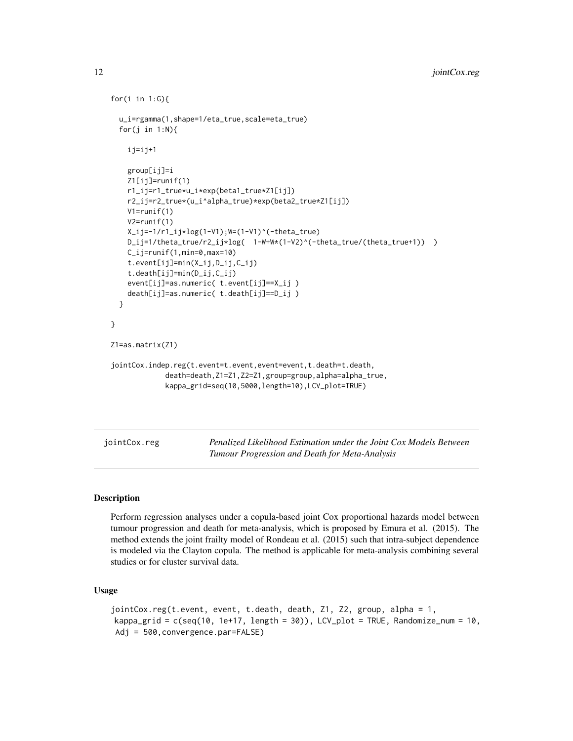```
for(i in 1:G){
 u_i=rgamma(1,shape=1/eta_true,scale=eta_true)
 for(j in 1:N){
    ij=ij+1
    group[ij]=i
   Z1[ij]=runif(1)
   r1_ij=r1_true*u_i*exp(beta1_true*Z1[ij])
   r2_ij=r2_true*(u_i^alpha_true)*exp(beta2_true*Z1[ij])
   V1=runif(1)
   V2=runif(1)
   X_i = -1/r1_i j * log(1-V1); W=(1-V1)^(-theta_true)
   D_ij=1/theta_true/r2_ij*log( 1-W+W*(1-V2)^(-theta_true/(theta_true+1)) )
   C_ij=runif(1,min=0,max=10)
    t.event[ij]=min(X_ij,D_ij,C_ij)
    t.death[ij]=min(D_ij,C_ij)
    event[ij]=as.numeric( t.event[ij]==X_ij )
    death[ij]=as.numeric( t.death[ij]==D_ij )
 }
}
Z1=as.matrix(Z1)
jointCox.indep.reg(t.event=t.event,event=event,t.death=t.death,
             death=death,Z1=Z1,Z2=Z1,group=group,alpha=alpha_true,
             kappa_grid=seq(10,5000,length=10),LCV_plot=TRUE)
```
jointCox.reg *Penalized Likelihood Estimation under the Joint Cox Models Between Tumour Progression and Death for Meta-Analysis*

### Description

Perform regression analyses under a copula-based joint Cox proportional hazards model between tumour progression and death for meta-analysis, which is proposed by Emura et al. (2015). The method extends the joint frailty model of Rondeau et al. (2015) such that intra-subject dependence is modeled via the Clayton copula. The method is applicable for meta-analysis combining several studies or for cluster survival data.

### Usage

```
jointCox.reg(t.event, event, t.death, death, Z1, Z2, group, alpha = 1,
kappa_grid = c(seq(10, 1e+17, length = 30)), LCV_plot = TRUE, Randomize_num = 10,
Adj = 500,convergence.par=FALSE)
```
<span id="page-11-0"></span>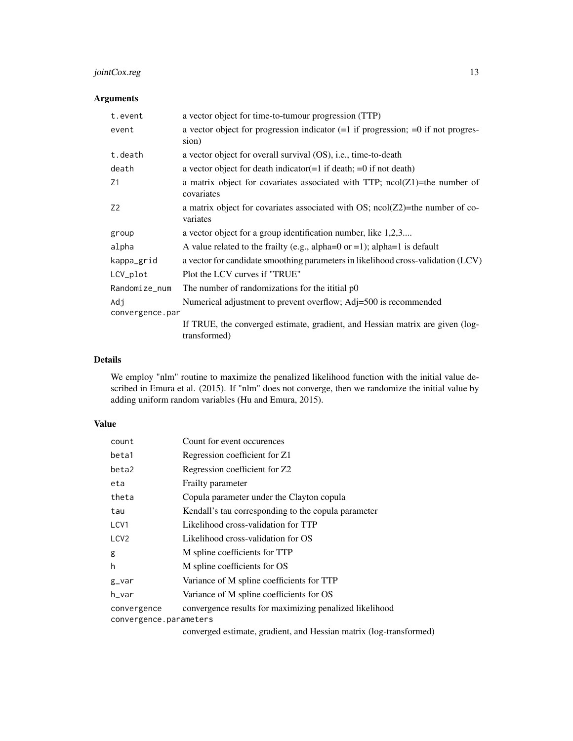# jointCox.reg 13

# Arguments

| t.event                | a vector object for time-to-tumour progression (TTP)                                          |  |
|------------------------|-----------------------------------------------------------------------------------------------|--|
| event                  | a vector object for progression indicator $(=1$ if progression; $=0$ if not progres-<br>sion) |  |
| t.death                | a vector object for overall survival (OS), i.e., time-to-death                                |  |
| death                  | a vector object for death indicator $(=1$ if death; $=0$ if not death)                        |  |
| Z1                     | a matrix object for covariates associated with TTP; $ncol(Z1)$ =the number of<br>covariates   |  |
| Z <sub>2</sub>         | a matrix object for covariates associated with OS; $ncol(Z2)$ =the number of co-<br>variates  |  |
| group                  | a vector object for a group identification number, like 1,2,3                                 |  |
| alpha                  | A value related to the frailty (e.g., alpha=0 or =1); alpha=1 is default                      |  |
| kappa_grid             | a vector for candidate smoothing parameters in likelihood cross-validation (LCV)              |  |
| LCV_plot               | Plot the LCV curves if "TRUE"                                                                 |  |
| Randomize_num          | The number of randomizations for the ititial p0                                               |  |
| Adi<br>convergence.par | Numerical adjustment to prevent overflow; Adj=500 is recommended                              |  |
|                        | If TRUE, the converged estimate, gradient, and Hessian matrix are given (log-<br>transformed) |  |

# Details

We employ "nlm" routine to maximize the penalized likelihood function with the initial value described in Emura et al. (2015). If "nlm" does not converge, then we randomize the initial value by adding uniform random variables (Hu and Emura, 2015).

# Value

| count                  | Count for event occurences                              |  |  |  |
|------------------------|---------------------------------------------------------|--|--|--|
| beta1                  | Regression coefficient for Z1                           |  |  |  |
| beta2                  | Regression coefficient for Z2                           |  |  |  |
| eta                    | Frailty parameter                                       |  |  |  |
| theta                  | Copula parameter under the Clayton copula               |  |  |  |
| tau                    | Kendall's tau corresponding to the copula parameter     |  |  |  |
| LCV1                   | Likelihood cross-validation for TTP                     |  |  |  |
| LCV <sub>2</sub>       | Likelihood cross-validation for OS                      |  |  |  |
| g                      | M spline coefficients for TTP                           |  |  |  |
| h                      | M spline coefficients for OS                            |  |  |  |
| $g_{v}$ var            | Variance of M spline coefficients for TTP               |  |  |  |
| h_var                  | Variance of M spline coefficients for OS                |  |  |  |
| convergence            | convergence results for maximizing penalized likelihood |  |  |  |
| convergence.parameters |                                                         |  |  |  |

converged estimate, gradient, and Hessian matrix (log-transformed)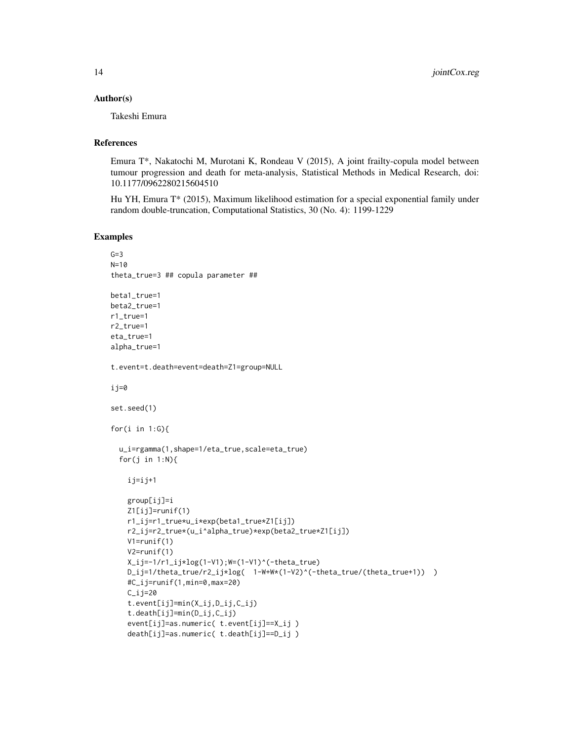#### Author(s)

Takeshi Emura

#### References

Emura T\*, Nakatochi M, Murotani K, Rondeau V (2015), A joint frailty-copula model between tumour progression and death for meta-analysis, Statistical Methods in Medical Research, doi: 10.1177/0962280215604510

Hu YH, Emura T\* (2015), Maximum likelihood estimation for a special exponential family under random double-truncation, Computational Statistics, 30 (No. 4): 1199-1229

### Examples

```
G=3N=10
theta_true=3 ## copula parameter ##
beta1_true=1
beta2_true=1
r1_true=1
r2_true=1
eta_true=1
alpha_true=1
t.event=t.death=event=death=Z1=group=NULL
i j=0set.seed(1)
for(i in 1:G){
  u_i=rgamma(1,shape=1/eta_true,scale=eta_true)
  for(j in 1:N){
    ij=ij+1
    group[ij]=i
   Z1[i]=runif(1)
    r1_ij=r1_true*u_i*exp(beta1_true*Z1[ij])
   r2_ij=r2_true*(u_i^alpha_true)*exp(beta2_true*Z1[ij])
   V1=runif(1)
   V2=runif(1)
    X_ij=-1/r1_ij*log(1-V1);W=(1-V1)^(-theta_true)
    D_ij=1/theta_true/r2_ij*log( 1-W+W*(1-V2)^(-theta_true/(theta_true+1)) )
    #C_ij=runif(1,min=0,max=20)
    C_ij=20
    t.event[ij]=min(X_ij,D_ij,C_ij)
    t.death[ij]=min(D_ij,C_ij)
    event[ij]=as.numeric( t.event[ij]==X_ij )
    death[ij]=as.numeric( t.death[ij]==D_ij )
```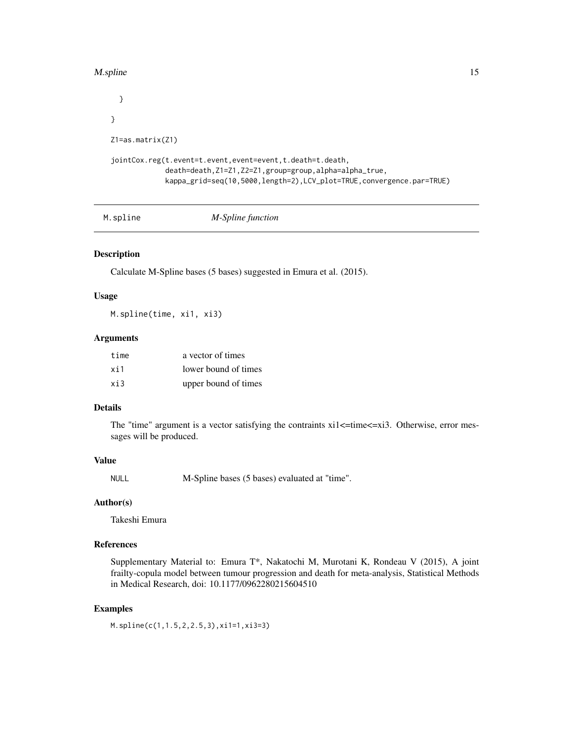#### <span id="page-14-0"></span>M.spline 15

```
}
}
Z1=as.matrix(Z1)
jointCox.reg(t.event=t.event,event=event,t.death=t.death,
             death=death,Z1=Z1,Z2=Z1,group=group,alpha=alpha_true,
             kappa_grid=seq(10,5000,length=2),LCV_plot=TRUE,convergence.par=TRUE)
```

|  |  | M-Spline function | M.spline |
|--|--|-------------------|----------|
|--|--|-------------------|----------|

### Description

Calculate M-Spline bases (5 bases) suggested in Emura et al. (2015).

### Usage

M.spline(time, xi1, xi3)

#### Arguments

| time | a vector of times    |
|------|----------------------|
| xi1  | lower bound of times |
| xi3  | upper bound of times |

# Details

The "time" argument is a vector satisfying the contraints  $xil \leq time \leq xil$ . Otherwise, error messages will be produced.

#### Value

NULL M-Spline bases (5 bases) evaluated at "time".

#### Author(s)

Takeshi Emura

# References

Supplementary Material to: Emura T\*, Nakatochi M, Murotani K, Rondeau V (2015), A joint frailty-copula model between tumour progression and death for meta-analysis, Statistical Methods in Medical Research, doi: 10.1177/0962280215604510

# Examples

M.spline(c(1,1.5,2,2.5,3),xi1=1,xi3=3)